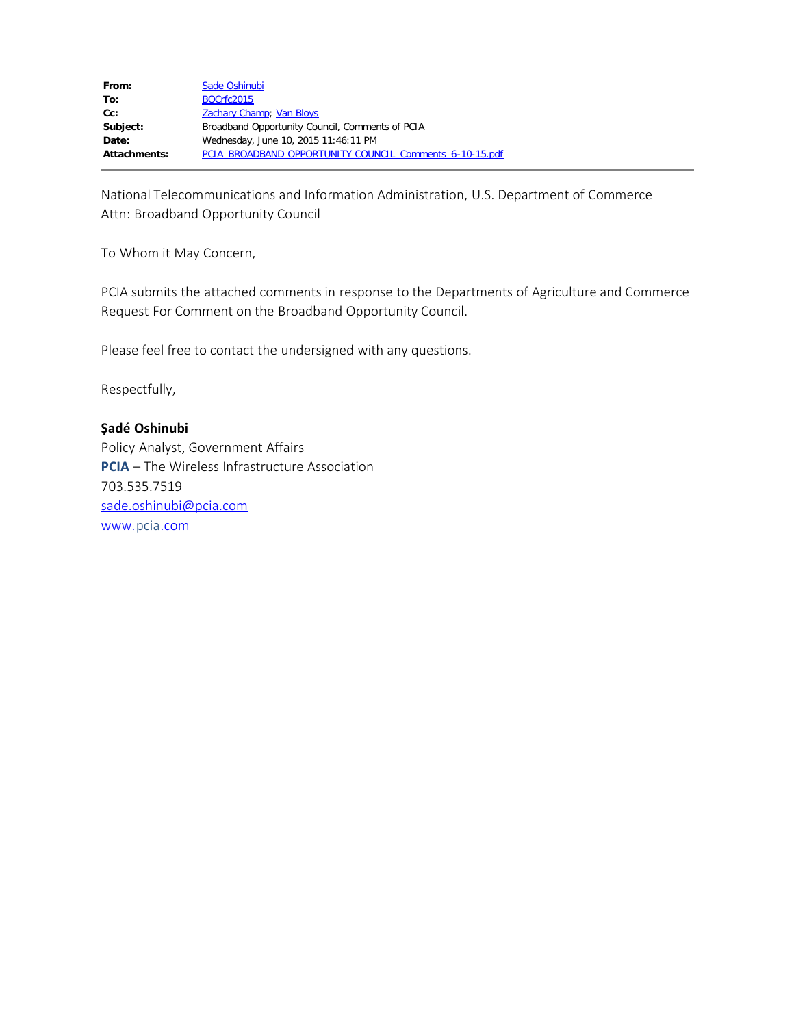| From:        | Sade Oshinubi                                           |
|--------------|---------------------------------------------------------|
| To:          | <b>BOCrfc2015</b>                                       |
| $Cc$ :       | <b>Zachary Champ</b> ; Van Bloys                        |
| Subject:     | Broadband Opportunity Council, Comments of PCIA         |
| Date:        | Wednesday, June 10, 2015 11:46:11 PM                    |
| Attachments: | PCIA BROADBAND OPPORTUNITY COUNCIL Comments 6-10-15.pdf |

National Telecommunications and Information Administration, U.S. Department of Commerce Attn: Broadband Opportunity Council

To Whom it May Concern,

PCIA submits the attached comments in response to the Departments of Agriculture and Commerce Request For Comment on the Broadband Opportunity Council.

Please feel free to contact the undersigned with any questions.

Respectfully,

## **Ṣadé Oshinubi**

Policy Analyst, Government Affairs **PCIA** – The Wireless Infrastructure Association 703.535.7519 [sade.oshinubi@pcia.com](mailto:sade.oshinubi@pcia.com) [www.pcia.com](http://www.pcia.com/)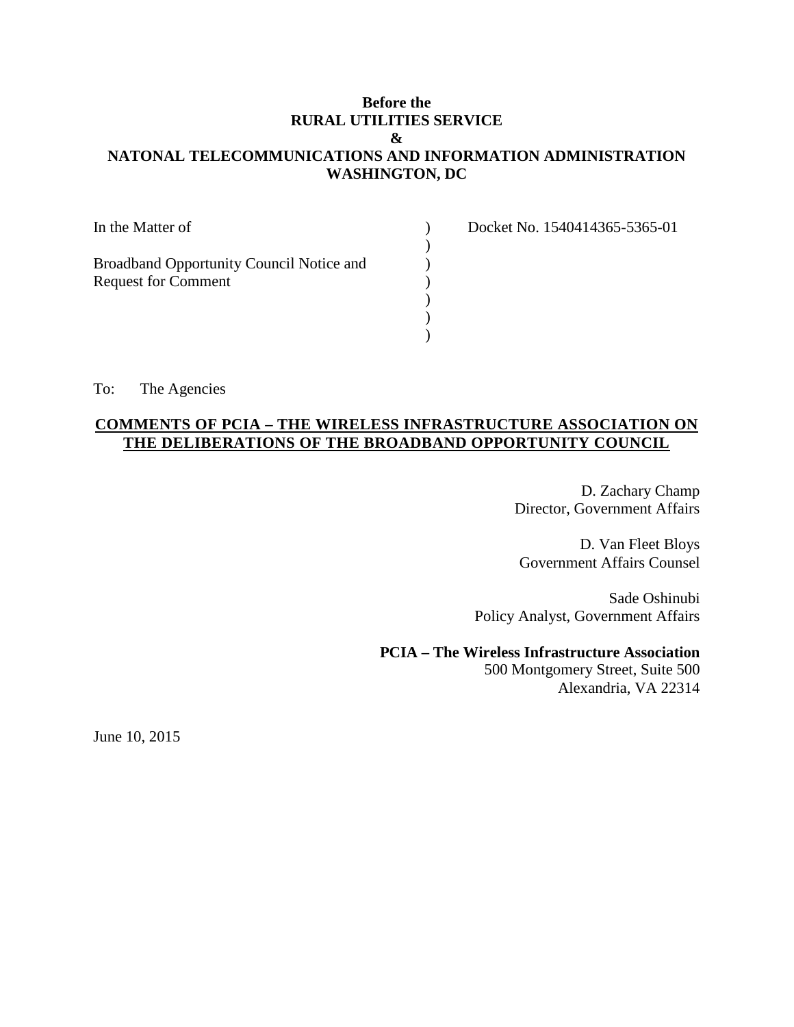# **Before the RURAL UTILITIES SERVICE & NATONAL TELECOMMUNICATIONS AND INFORMATION ADMINISTRATION WASHINGTON, DC**

| In the Matter of                         |  |
|------------------------------------------|--|
| Broadband Opportunity Council Notice and |  |
| <b>Request for Comment</b>               |  |
|                                          |  |
|                                          |  |

Docket No. 1540414365-5365-01

To: The Agencies

# **COMMENTS OF PCIA – THE WIRELESS INFRASTRUCTURE ASSOCIATION ON THE DELIBERATIONS OF THE BROADBAND OPPORTUNITY COUNCIL**

)

D. Zachary Champ Director, Government Affairs

D. Van Fleet Bloys Government Affairs Counsel

Sade Oshinubi Policy Analyst, Government Affairs

## **PCIA – The Wireless Infrastructure Association**

500 Montgomery Street, Suite 500 Alexandria, VA 22314

June 10, 2015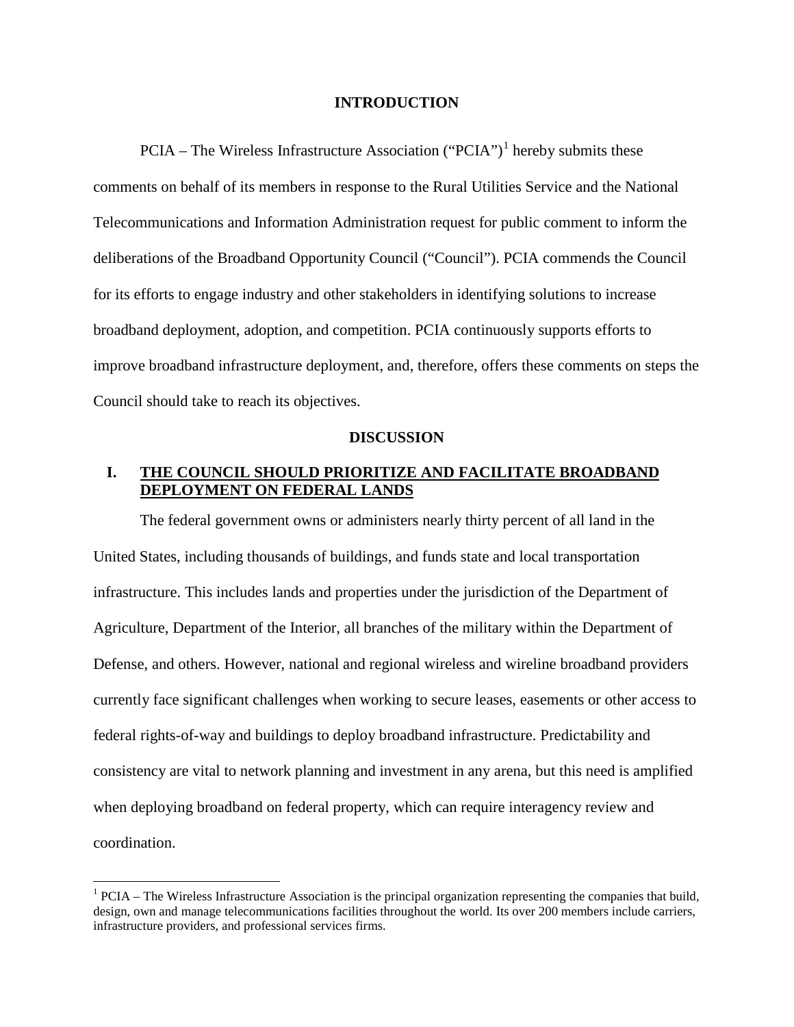## **INTRODUCTION**

 $PCIA - The Wireless Infrastructure Association ("PCIA")<sup>1</sup> hereby submits these$  $PCIA - The Wireless Infrastructure Association ("PCIA")<sup>1</sup> hereby submits these$  $PCIA - The Wireless Infrastructure Association ("PCIA")<sup>1</sup> hereby submits these$ comments on behalf of its members in response to the Rural Utilities Service and the National Telecommunications and Information Administration request for public comment to inform the deliberations of the Broadband Opportunity Council ("Council"). PCIA commends the Council for its efforts to engage industry and other stakeholders in identifying solutions to increase broadband deployment, adoption, and competition. PCIA continuously supports efforts to improve broadband infrastructure deployment, and, therefore, offers these comments on steps the Council should take to reach its objectives.

### **DISCUSSION**

# **I. THE COUNCIL SHOULD PRIORITIZE AND FACILITATE BROADBAND DEPLOYMENT ON FEDERAL LANDS**

The federal government owns or administers nearly thirty percent of all land in the United States, including thousands of buildings, and funds state and local transportation infrastructure. This includes lands and properties under the jurisdiction of the Department of Agriculture, Department of the Interior, all branches of the military within the Department of Defense, and others. However, national and regional wireless and wireline broadband providers currently face significant challenges when working to secure leases, easements or other access to federal rights-of-way and buildings to deploy broadband infrastructure. Predictability and consistency are vital to network planning and investment in any arena, but this need is amplified when deploying broadband on federal property, which can require interagency review and coordination.

<span id="page-2-0"></span> $1$  PCIA – The Wireless Infrastructure Association is the principal organization representing the companies that build, design, own and manage telecommunications facilities throughout the world. Its over 200 members include carriers, infrastructure providers, and professional services firms.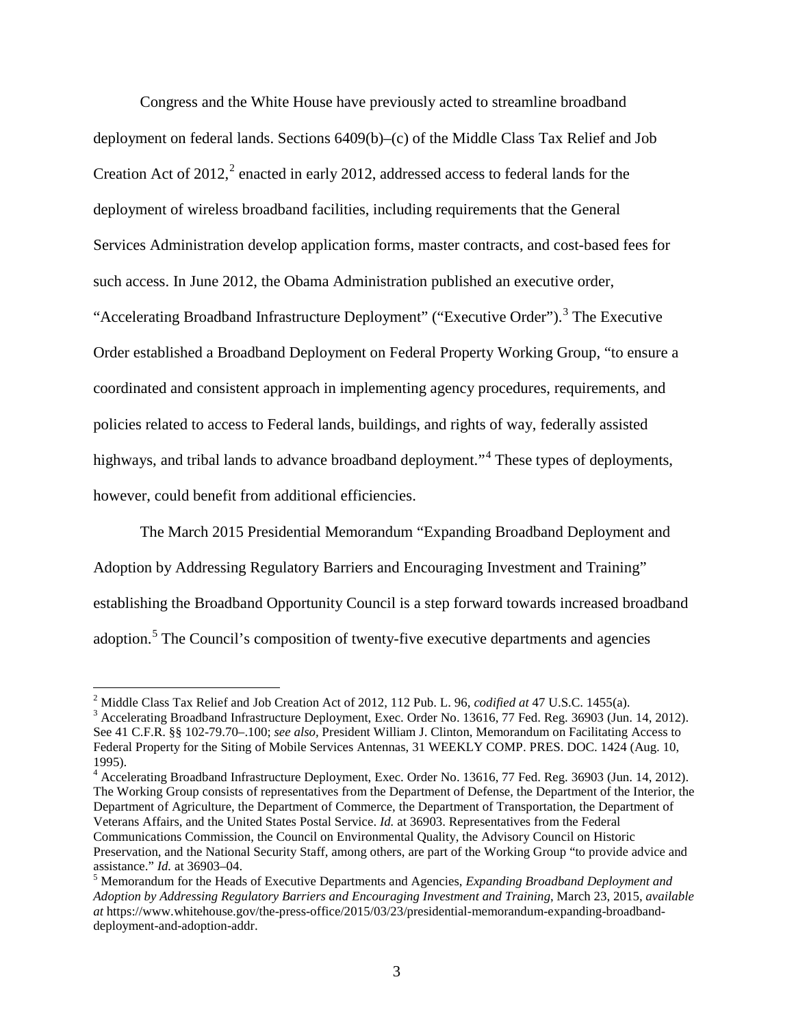Congress and the White House have previously acted to streamline broadband deployment on federal lands. Sections 6409(b)–(c) of the Middle Class Tax Relief and Job Creation Act of  $2012$  $2012$ ,<sup>2</sup> enacted in early 2012, addressed access to federal lands for the deployment of wireless broadband facilities, including requirements that the General Services Administration develop application forms, master contracts, and cost-based fees for such access. In June 2012, the Obama Administration published an executive order, "Accelerating Broadband Infrastructure Deployment" ("Executive Order").<sup>[3](#page-3-1)</sup> The Executive Order established a Broadband Deployment on Federal Property Working Group, "to ensure a coordinated and consistent approach in implementing agency procedures, requirements, and policies related to access to Federal lands, buildings, and rights of way, federally assisted highways, and tribal lands to advance broadband deployment."<sup>[4](#page-3-2)</sup> These types of deployments, however, could benefit from additional efficiencies.

The March 2015 Presidential Memorandum "Expanding Broadband Deployment and Adoption by Addressing Regulatory Barriers and Encouraging Investment and Training" establishing the Broadband Opportunity Council is a step forward towards increased broadband adoption.<sup>[5](#page-3-3)</sup> The Council's composition of twenty-five executive departments and agencies

 $\overline{a}$ 

<span id="page-3-2"></span>The Working Group consists of representatives from the Department of Defense, the Department of the Interior, the Department of Agriculture, the Department of Commerce, the Department of Transportation, the Department of Veterans Affairs, and the United States Postal Service. *Id.* at 36903. Representatives from the Federal Communications Commission, the Council on Environmental Quality, the Advisory Council on Historic Preservation, and the National Security Staff, among others, are part of the Working Group "to provide advice and

<span id="page-3-1"></span><span id="page-3-0"></span><sup>&</sup>lt;sup>2</sup> Middle Class Tax Relief and Job Creation Act of 2012, 112 Pub. L. 96, *codified at* 47 U.S.C. 1455(a).<br><sup>3</sup> Accelerating Broadband Infrastructure Deployment, Exec. Order No. 13616, 77 Fed. Reg. 36903 (Jun. 14, 2012). See 41 C.F.R. §§ 102-79.70–.100; *see also,* President William J. Clinton, Memorandum on Facilitating Access to Federal Property for the Siting of Mobile Services Antennas, 31 WEEKLY COMP. PRES. DOC. 1424 (Aug. 10, 1995).<br><sup>4</sup> Accelerating Broadband Infrastructure Deployment, Exec. Order No. 13616, 77 Fed. Reg. 36903 (Jun. 14, 2012).

<span id="page-3-3"></span>assistance." *Id.* at 36903–04.<br><sup>5</sup> Memorandum for the Heads of Executive Departments and Agencies, *Expanding Broadband Deployment and Adoption by Addressing Regulatory Barriers and Encouraging Investment and Training*, March 23, 2015, *available at* https://www.whitehouse.gov/the-press-office/2015/03/23/presidential-memorandum-expanding-broadbanddeployment-and-adoption-addr.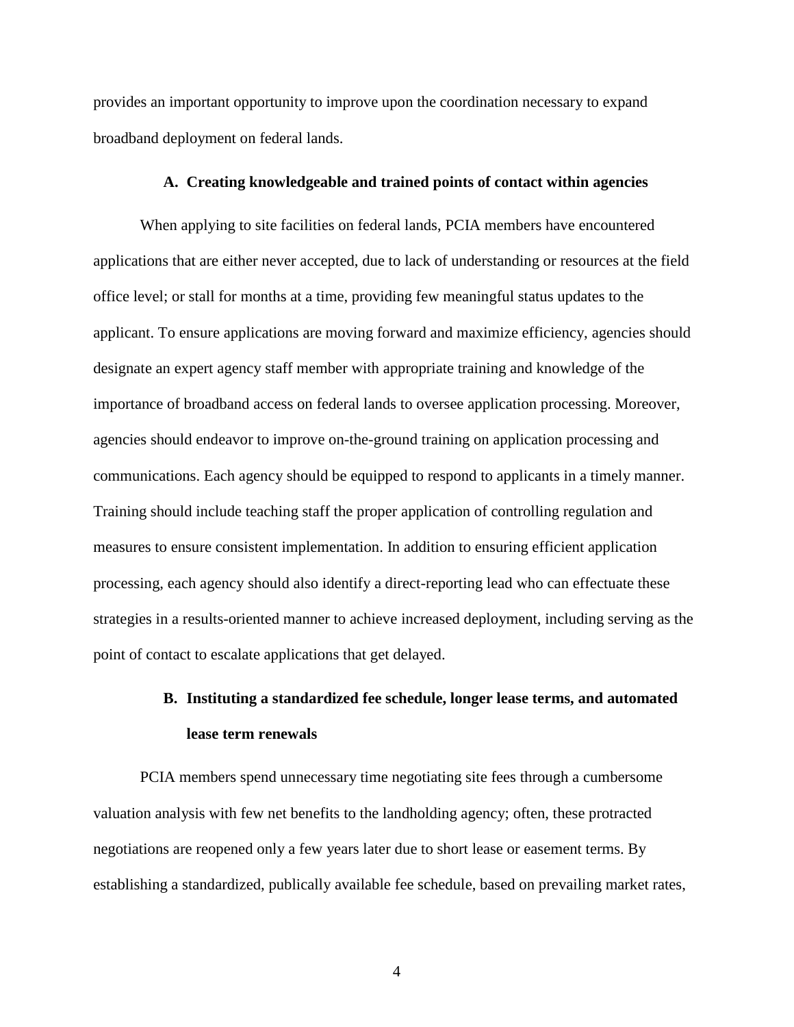provides an important opportunity to improve upon the coordination necessary to expand broadband deployment on federal lands.

## **A. Creating knowledgeable and trained points of contact within agencies**

When applying to site facilities on federal lands, PCIA members have encountered applications that are either never accepted, due to lack of understanding or resources at the field office level; or stall for months at a time, providing few meaningful status updates to the applicant. To ensure applications are moving forward and maximize efficiency, agencies should designate an expert agency staff member with appropriate training and knowledge of the importance of broadband access on federal lands to oversee application processing. Moreover, agencies should endeavor to improve on-the-ground training on application processing and communications. Each agency should be equipped to respond to applicants in a timely manner. Training should include teaching staff the proper application of controlling regulation and measures to ensure consistent implementation. In addition to ensuring efficient application processing, each agency should also identify a direct-reporting lead who can effectuate these strategies in a results-oriented manner to achieve increased deployment, including serving as the point of contact to escalate applications that get delayed.

# **B. Instituting a standardized fee schedule, longer lease terms, and automated lease term renewals**

PCIA members spend unnecessary time negotiating site fees through a cumbersome valuation analysis with few net benefits to the landholding agency; often, these protracted negotiations are reopened only a few years later due to short lease or easement terms. By establishing a standardized, publically available fee schedule, based on prevailing market rates,

4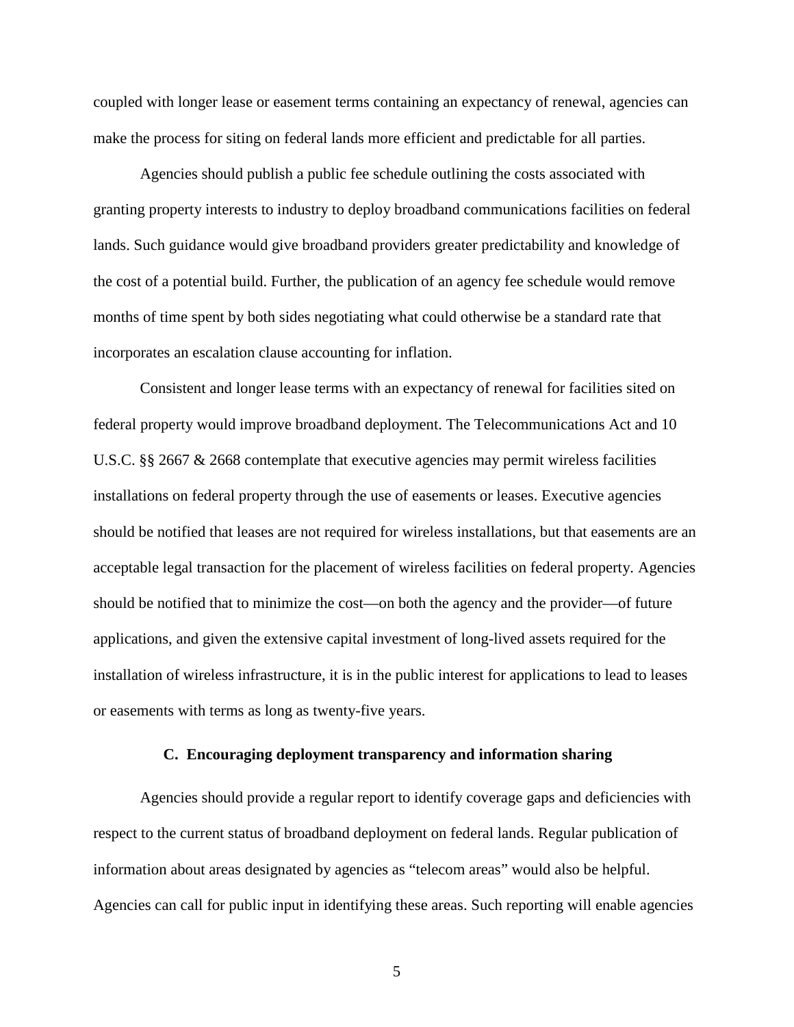coupled with longer lease or easement terms containing an expectancy of renewal, agencies can make the process for siting on federal lands more efficient and predictable for all parties.

Agencies should publish a public fee schedule outlining the costs associated with granting property interests to industry to deploy broadband communications facilities on federal lands. Such guidance would give broadband providers greater predictability and knowledge of the cost of a potential build. Further, the publication of an agency fee schedule would remove months of time spent by both sides negotiating what could otherwise be a standard rate that incorporates an escalation clause accounting for inflation.

Consistent and longer lease terms with an expectancy of renewal for facilities sited on federal property would improve broadband deployment. The Telecommunications Act and 10 U.S.C. §§ 2667 & 2668 contemplate that executive agencies may permit wireless facilities installations on federal property through the use of easements or leases. Executive agencies should be notified that leases are not required for wireless installations, but that easements are an acceptable legal transaction for the placement of wireless facilities on federal property. Agencies should be notified that to minimize the cost—on both the agency and the provider—of future applications, and given the extensive capital investment of long-lived assets required for the installation of wireless infrastructure, it is in the public interest for applications to lead to leases or easements with terms as long as twenty-five years.

## **C. Encouraging deployment transparency and information sharing**

Agencies should provide a regular report to identify coverage gaps and deficiencies with respect to the current status of broadband deployment on federal lands. Regular publication of information about areas designated by agencies as "telecom areas" would also be helpful. Agencies can call for public input in identifying these areas. Such reporting will enable agencies

5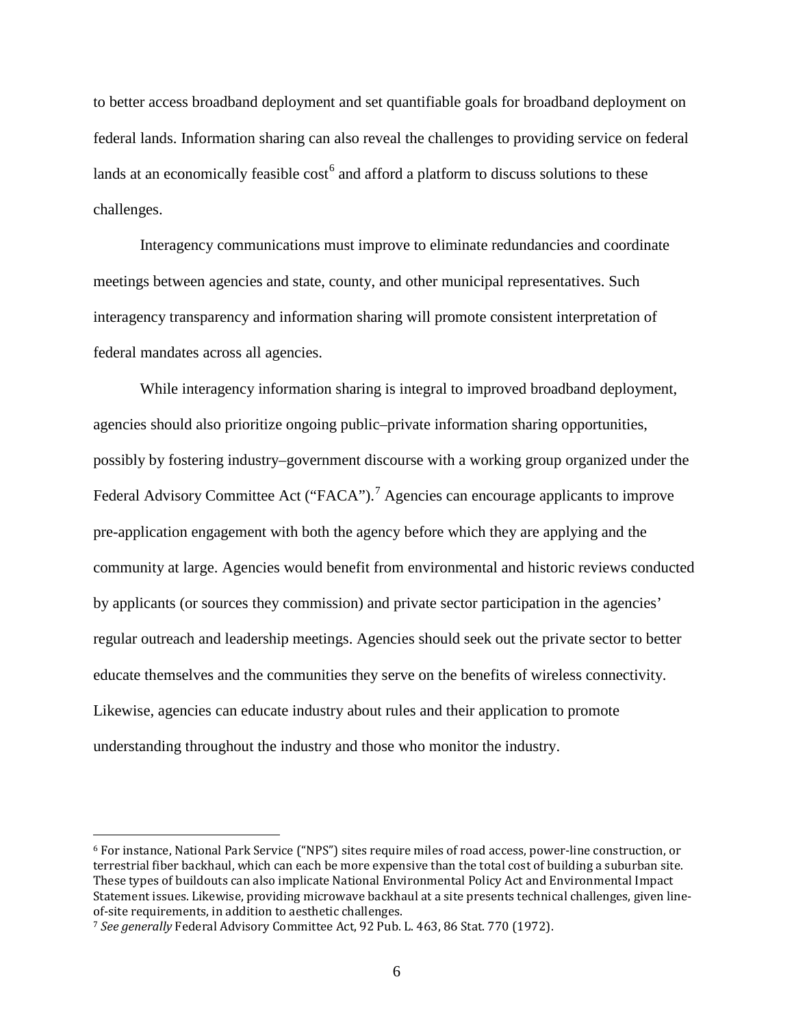to better access broadband deployment and set quantifiable goals for broadband deployment on federal lands. Information sharing can also reveal the challenges to providing service on federal lands at an economically feasible  $\cos t^6$  $\cos t^6$  and afford a platform to discuss solutions to these challenges.

Interagency communications must improve to eliminate redundancies and coordinate meetings between agencies and state, county, and other municipal representatives. Such interagency transparency and information sharing will promote consistent interpretation of federal mandates across all agencies.

While interagency information sharing is integral to improved broadband deployment, agencies should also prioritize ongoing public–private information sharing opportunities, possibly by fostering industry–government discourse with a working group organized under the Federal Advisory Committee Act ("FACA").<sup>[7](#page-6-1)</sup> Agencies can encourage applicants to improve pre-application engagement with both the agency before which they are applying and the community at large. Agencies would benefit from environmental and historic reviews conducted by applicants (or sources they commission) and private sector participation in the agencies' regular outreach and leadership meetings. Agencies should seek out the private sector to better educate themselves and the communities they serve on the benefits of wireless connectivity. Likewise, agencies can educate industry about rules and their application to promote understanding throughout the industry and those who monitor the industry.

<span id="page-6-0"></span><sup>6</sup> For instance, National Park Service ("NPS") sites require miles of road access, power-line construction, or terrestrial fiber backhaul, which can each be more expensive than the total cost of building a suburban site. These types of buildouts can also implicate National Environmental Policy Act and Environmental Impact Statement issues. Likewise, providing microwave backhaul at a site presents technical challenges, given lineof-site requirements, in addition to aesthetic challenges.

<span id="page-6-1"></span><sup>7</sup> *See generally* Federal Advisory Committee Act, 92 Pub. L. 463, 86 Stat. 770 (1972).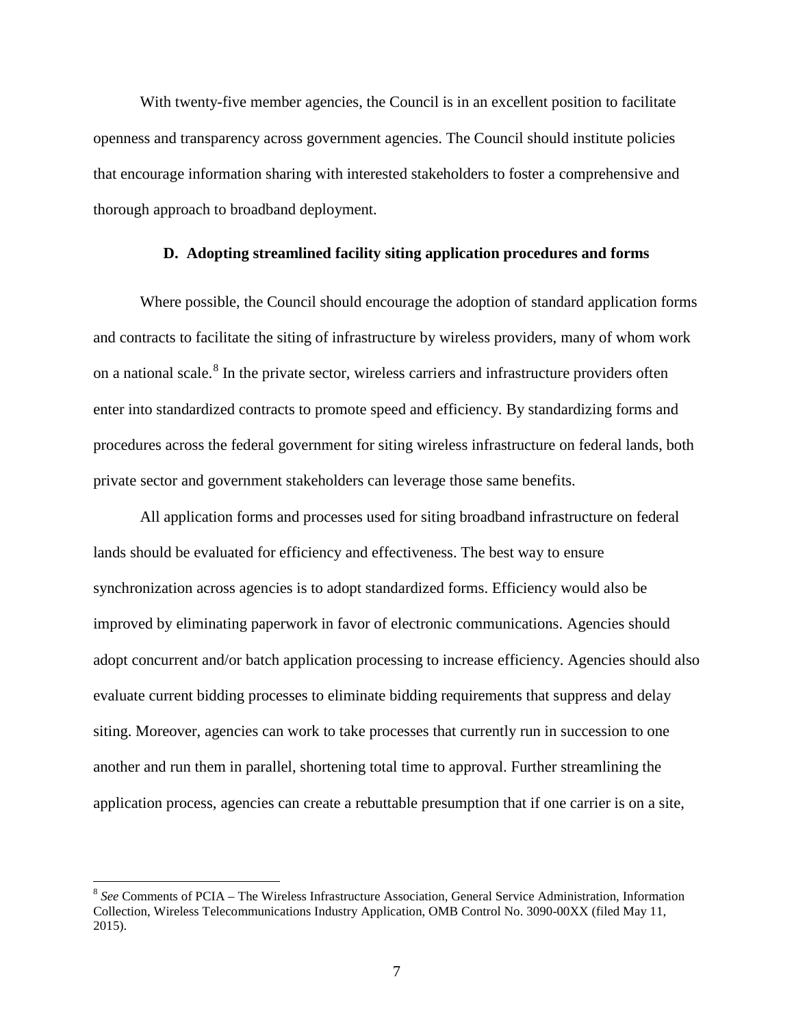With twenty-five member agencies, the Council is in an excellent position to facilitate openness and transparency across government agencies. The Council should institute policies that encourage information sharing with interested stakeholders to foster a comprehensive and thorough approach to broadband deployment.

### **D. Adopting streamlined facility siting application procedures and forms**

Where possible, the Council should encourage the adoption of standard application forms and contracts to facilitate the siting of infrastructure by wireless providers, many of whom work on a national scale.<sup>[8](#page-7-0)</sup> In the private sector, wireless carriers and infrastructure providers often enter into standardized contracts to promote speed and efficiency. By standardizing forms and procedures across the federal government for siting wireless infrastructure on federal lands, both private sector and government stakeholders can leverage those same benefits.

All application forms and processes used for siting broadband infrastructure on federal lands should be evaluated for efficiency and effectiveness. The best way to ensure synchronization across agencies is to adopt standardized forms. Efficiency would also be improved by eliminating paperwork in favor of electronic communications. Agencies should adopt concurrent and/or batch application processing to increase efficiency. Agencies should also evaluate current bidding processes to eliminate bidding requirements that suppress and delay siting. Moreover, agencies can work to take processes that currently run in succession to one another and run them in parallel, shortening total time to approval. Further streamlining the application process, agencies can create a rebuttable presumption that if one carrier is on a site,

<span id="page-7-0"></span><sup>8</sup> *See* Comments of PCIA – The Wireless Infrastructure Association, General Service Administration, Information Collection, Wireless Telecommunications Industry Application, OMB Control No. 3090-00XX (filed May 11, 2015).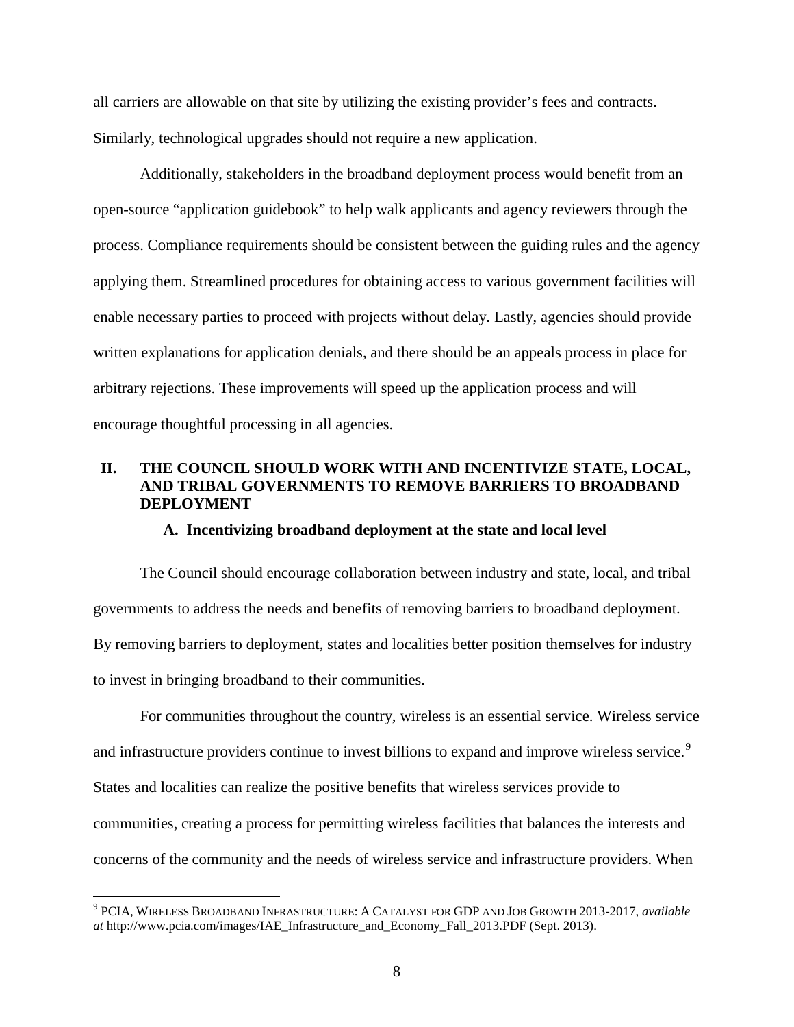all carriers are allowable on that site by utilizing the existing provider's fees and contracts. Similarly, technological upgrades should not require a new application.

Additionally, stakeholders in the broadband deployment process would benefit from an open-source "application guidebook" to help walk applicants and agency reviewers through the process. Compliance requirements should be consistent between the guiding rules and the agency applying them. Streamlined procedures for obtaining access to various government facilities will enable necessary parties to proceed with projects without delay. Lastly, agencies should provide written explanations for application denials, and there should be an appeals process in place for arbitrary rejections. These improvements will speed up the application process and will encourage thoughtful processing in all agencies.

## **II. THE COUNCIL SHOULD WORK WITH AND INCENTIVIZE STATE, LOCAL, AND TRIBAL GOVERNMENTS TO REMOVE BARRIERS TO BROADBAND DEPLOYMENT**

## **A. Incentivizing broadband deployment at the state and local level**

The Council should encourage collaboration between industry and state, local, and tribal governments to address the needs and benefits of removing barriers to broadband deployment. By removing barriers to deployment, states and localities better position themselves for industry to invest in bringing broadband to their communities.

For communities throughout the country, wireless is an essential service. Wireless service and infrastructure providers continue to invest billions to expand and improve wireless service.<sup>[9](#page-8-0)</sup> States and localities can realize the positive benefits that wireless services provide to communities, creating a process for permitting wireless facilities that balances the interests and concerns of the community and the needs of wireless service and infrastructure providers. When

<span id="page-8-0"></span><sup>9</sup> PCIA, WIRELESS BROADBAND INFRASTRUCTURE: A CATALYST FOR GDP AND JOB GROWTH 2013-2017, *available at* http://www.pcia.com/images/IAE\_Infrastructure\_and\_Economy\_Fall\_2013.PDF (Sept. 2013).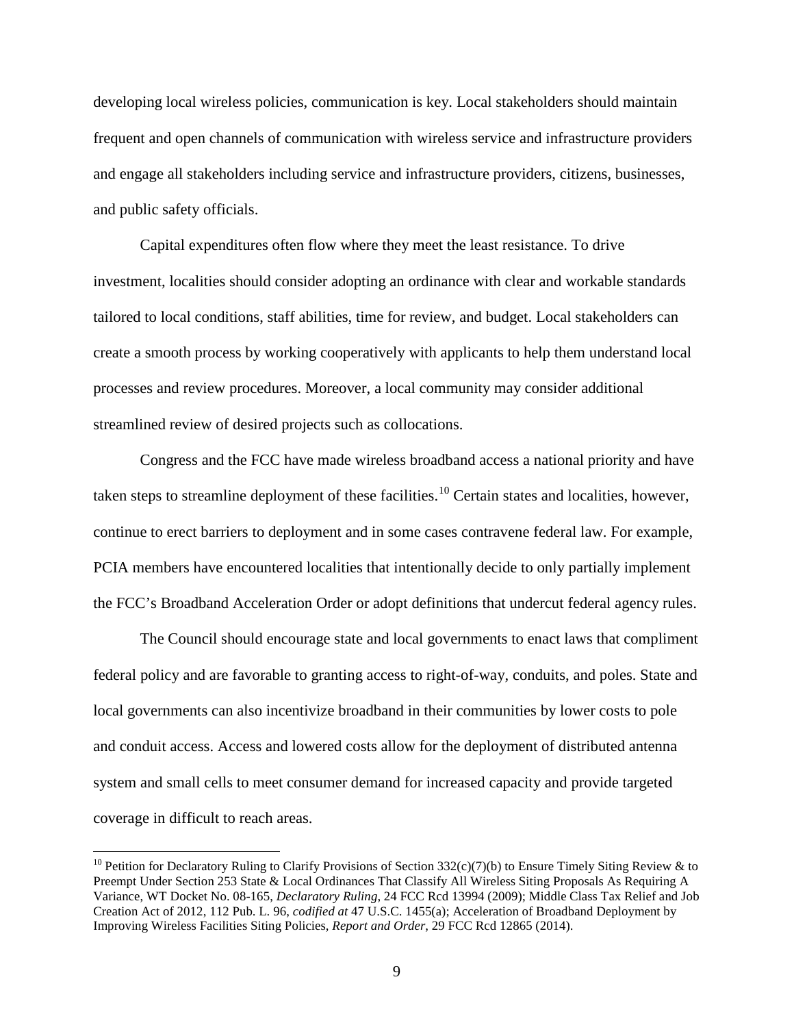developing local wireless policies, communication is key. Local stakeholders should maintain frequent and open channels of communication with wireless service and infrastructure providers and engage all stakeholders including service and infrastructure providers, citizens, businesses, and public safety officials.

Capital expenditures often flow where they meet the least resistance. To drive investment, localities should consider adopting an ordinance with clear and workable standards tailored to local conditions, staff abilities, time for review, and budget. Local stakeholders can create a smooth process by working cooperatively with applicants to help them understand local processes and review procedures. Moreover, a local community may consider additional streamlined review of desired projects such as collocations.

Congress and the FCC have made wireless broadband access a national priority and have taken steps to streamline deployment of these facilities.<sup>[10](#page-9-0)</sup> Certain states and localities, however, continue to erect barriers to deployment and in some cases contravene federal law. For example, PCIA members have encountered localities that intentionally decide to only partially implement the FCC's Broadband Acceleration Order or adopt definitions that undercut federal agency rules.

The Council should encourage state and local governments to enact laws that compliment federal policy and are favorable to granting access to right-of-way, conduits, and poles. State and local governments can also incentivize broadband in their communities by lower costs to pole and conduit access. Access and lowered costs allow for the deployment of distributed antenna system and small cells to meet consumer demand for increased capacity and provide targeted coverage in difficult to reach areas.

<span id="page-9-0"></span><sup>&</sup>lt;sup>10</sup> Petition for Declaratory Ruling to Clarify Provisions of Section 332(c)(7)(b) to Ensure Timely Siting Review & to Preempt Under Section 253 State & Local Ordinances That Classify All Wireless Siting Proposals As Requiring A Variance, WT Docket No. 08-165, *Declaratory Ruling*, 24 FCC Rcd 13994 (2009); Middle Class Tax Relief and Job Creation Act of 2012, 112 Pub. L. 96, *codified at* 47 U.S.C. 1455(a); Acceleration of Broadband Deployment by Improving Wireless Facilities Siting Policies, *Report and Order*, 29 FCC Rcd 12865 (2014).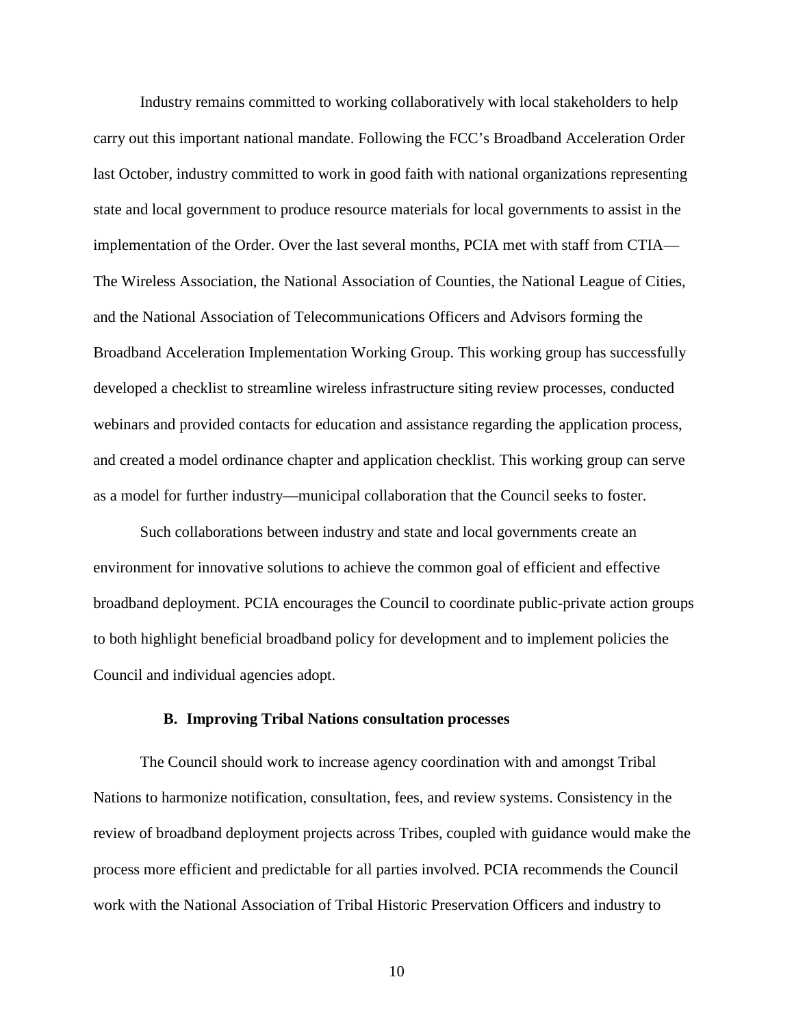Industry remains committed to working collaboratively with local stakeholders to help carry out this important national mandate. Following the FCC's Broadband Acceleration Order last October, industry committed to work in good faith with national organizations representing state and local government to produce resource materials for local governments to assist in the implementation of the Order. Over the last several months, PCIA met with staff from CTIA— The Wireless Association, the National Association of Counties, the National League of Cities, and the National Association of Telecommunications Officers and Advisors forming the Broadband Acceleration Implementation Working Group. This working group has successfully developed a checklist to streamline wireless infrastructure siting review processes, conducted webinars and provided contacts for education and assistance regarding the application process, and created a model ordinance chapter and application checklist. This working group can serve as a model for further industry—municipal collaboration that the Council seeks to foster.

Such collaborations between industry and state and local governments create an environment for innovative solutions to achieve the common goal of efficient and effective broadband deployment. PCIA encourages the Council to coordinate public-private action groups to both highlight beneficial broadband policy for development and to implement policies the Council and individual agencies adopt.

#### **B. Improving Tribal Nations consultation processes**

The Council should work to increase agency coordination with and amongst Tribal Nations to harmonize notification, consultation, fees, and review systems. Consistency in the review of broadband deployment projects across Tribes, coupled with guidance would make the process more efficient and predictable for all parties involved. PCIA recommends the Council work with the National Association of Tribal Historic Preservation Officers and industry to

10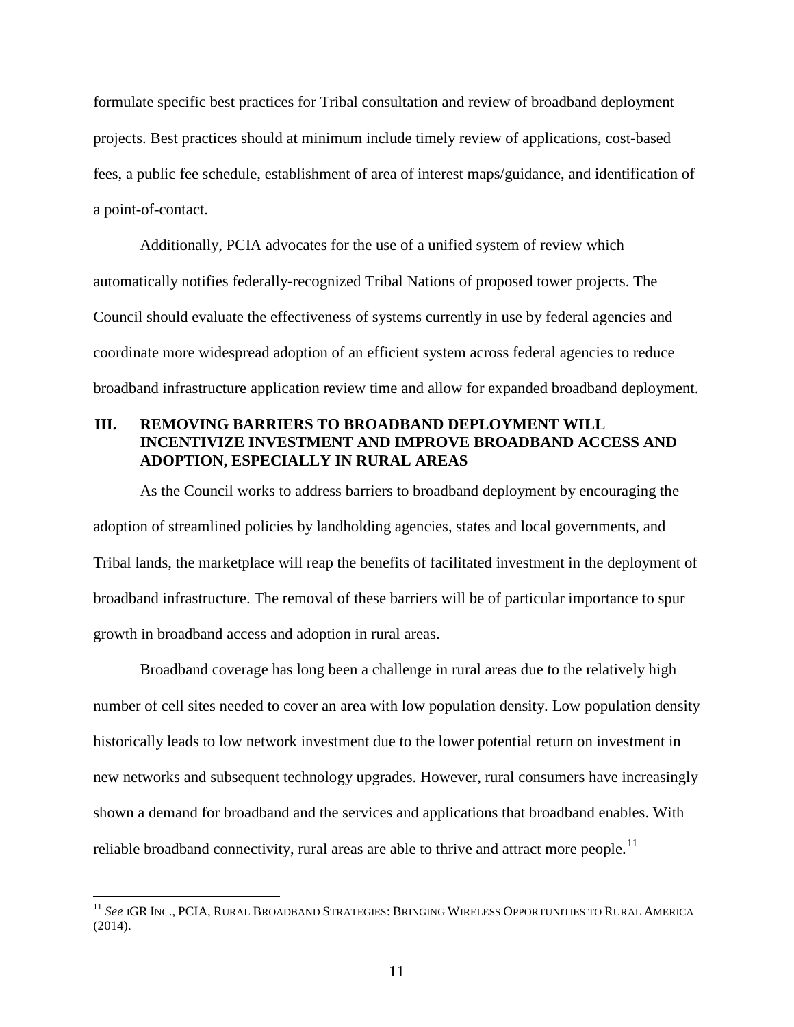formulate specific best practices for Tribal consultation and review of broadband deployment projects. Best practices should at minimum include timely review of applications, cost-based fees, a public fee schedule, establishment of area of interest maps/guidance, and identification of a point-of-contact.

Additionally, PCIA advocates for the use of a unified system of review which automatically notifies federally-recognized Tribal Nations of proposed tower projects. The Council should evaluate the effectiveness of systems currently in use by federal agencies and coordinate more widespread adoption of an efficient system across federal agencies to reduce broadband infrastructure application review time and allow for expanded broadband deployment.

# **III. REMOVING BARRIERS TO BROADBAND DEPLOYMENT WILL INCENTIVIZE INVESTMENT AND IMPROVE BROADBAND ACCESS AND ADOPTION, ESPECIALLY IN RURAL AREAS**

As the Council works to address barriers to broadband deployment by encouraging the adoption of streamlined policies by landholding agencies, states and local governments, and Tribal lands, the marketplace will reap the benefits of facilitated investment in the deployment of broadband infrastructure. The removal of these barriers will be of particular importance to spur growth in broadband access and adoption in rural areas.

Broadband coverage has long been a challenge in rural areas due to the relatively high number of cell sites needed to cover an area with low population density. Low population density historically leads to low network investment due to the lower potential return on investment in new networks and subsequent technology upgrades. However, rural consumers have increasingly shown a demand for broadband and the services and applications that broadband enables. With reliable broadband connectivity, rural areas are able to thrive and attract more people.<sup>[11](#page-11-0)</sup>

<span id="page-11-0"></span><sup>&</sup>lt;sup>11</sup> See IGR Inc., PCIA, Rural Broadband Strategies: Bringing Wireless Opportunities to Rural America (2014).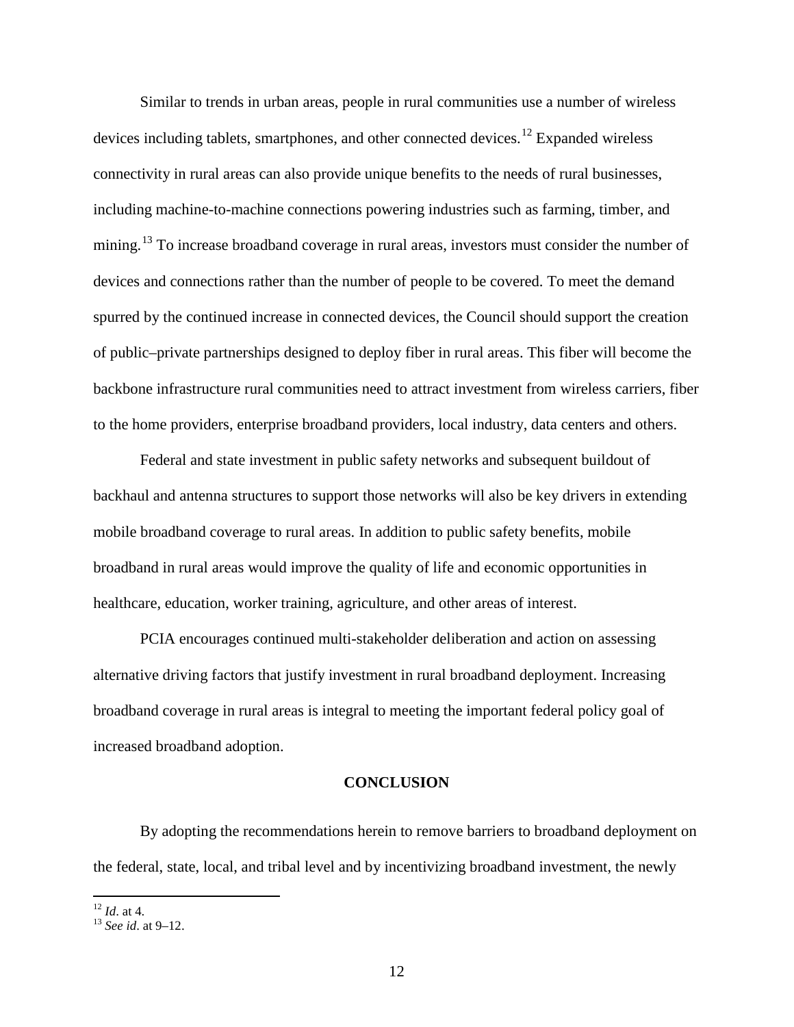Similar to trends in urban areas, people in rural communities use a number of wireless devices including tablets, smartphones, and other connected devices.<sup>[12](#page-12-0)</sup> Expanded wireless connectivity in rural areas can also provide unique benefits to the needs of rural businesses, including machine-to-machine connections powering industries such as farming, timber, and mining.<sup>[13](#page-12-1)</sup> To increase broadband coverage in rural areas, investors must consider the number of devices and connections rather than the number of people to be covered. To meet the demand spurred by the continued increase in connected devices, the Council should support the creation of public–private partnerships designed to deploy fiber in rural areas. This fiber will become the backbone infrastructure rural communities need to attract investment from wireless carriers, fiber to the home providers, enterprise broadband providers, local industry, data centers and others.

Federal and state investment in public safety networks and subsequent buildout of backhaul and antenna structures to support those networks will also be key drivers in extending mobile broadband coverage to rural areas. In addition to public safety benefits, mobile broadband in rural areas would improve the quality of life and economic opportunities in healthcare, education, worker training, agriculture, and other areas of interest.

PCIA encourages continued multi-stakeholder deliberation and action on assessing alternative driving factors that justify investment in rural broadband deployment. Increasing broadband coverage in rural areas is integral to meeting the important federal policy goal of increased broadband adoption.

### **CONCLUSION**

By adopting the recommendations herein to remove barriers to broadband deployment on the federal, state, local, and tribal level and by incentivizing broadband investment, the newly

 $12$  *Id* at 4

<span id="page-12-1"></span><span id="page-12-0"></span><sup>&</sup>lt;sup>13</sup> *See id.* at 9-12.